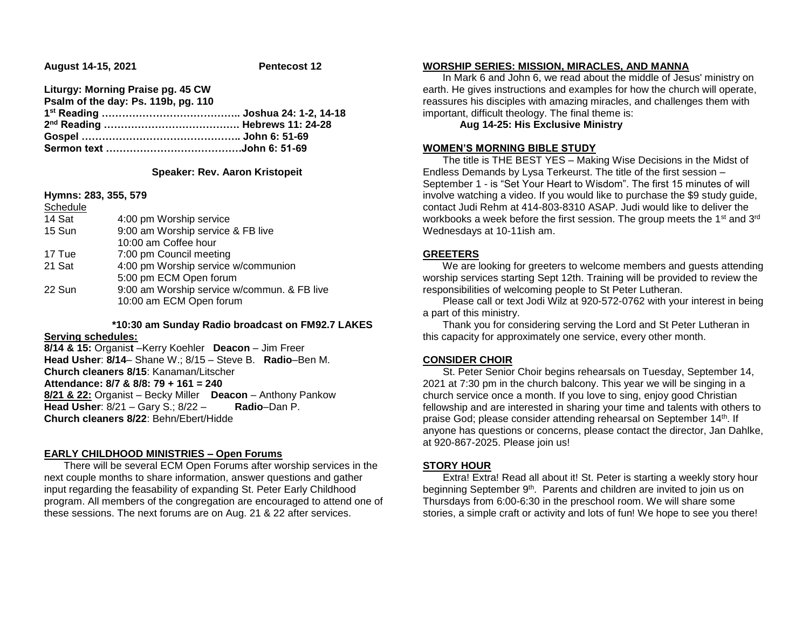**August 14-15, 2021 Pentecost 12**

| Liturgy: Morning Praise pg. 45 CW   |  |
|-------------------------------------|--|
| Psalm of the day: Ps. 119b, pg. 110 |  |
|                                     |  |
|                                     |  |
|                                     |  |
|                                     |  |

## **Speaker: Rev. Aaron Kristopeit**

#### **Hymns: 283, 355, 579**

| Schedule |                                             |
|----------|---------------------------------------------|
| 14 Sat   | 4:00 pm Worship service                     |
| 15 Sun   | 9:00 am Worship service & FB live           |
|          | 10:00 am Coffee hour                        |
| 17 Tue   | 7:00 pm Council meeting                     |
| 21 Sat   | 4:00 pm Worship service w/communion         |
|          | 5:00 pm ECM Open forum                      |
| 22 Sun   | 9:00 am Worship service w/commun. & FB live |
|          | 10:00 am ECM Open forum                     |

# **\*10:30 am Sunday Radio broadcast on FM92.7 LAKES**

# **Serving schedules:**

**8/14 & 15:** Organis**t** –Kerry Koehler **Deacon** – Jim Freer **Head Usher**: **8/14**– Shane W.; 8/15 – Steve B. **Radio**–Ben M. **Church cleaners 8/15**: Kanaman/Litscher **Attendance: 8/7 & 8/8: 79 + 161 = 240 8/21 & 22:** Organist – Becky Miller **Deacon** – Anthony Pankow **Head Usher**: 8/21 – Gary S.; 8/22 – **Radio**–Dan P. **Church cleaners 8/22**: Behn/Ebert/Hidde

## **EARLY CHILDHOOD MINISTRIES – Open Forums**

 There will be several ECM Open Forums after worship services in the next couple months to share information, answer questions and gather input regarding the feasability of expanding St. Peter Early Childhood program. All members of the congregation are encouraged to attend one of these sessions. The next forums are on Aug. 21 & 22 after services.

#### **WORSHIP SERIES: MISSION, MIRACLES, AND MANNA**

 In Mark 6 and John 6, we read about the middle of Jesus' ministry on earth. He gives instructions and examples for how the church will operate, reassures his disciples with amazing miracles, and challenges them with important, difficult theology. The final theme is:

# **Aug 14-25: His Exclusive Ministry**

#### **WOMEN'S MORNING BIBLE STUDY**

 The title is THE BEST YES – Making Wise Decisions in the Midst of Endless Demands by Lysa Terkeurst. The title of the first session – September 1 - is "Set Your Heart to Wisdom". The first 15 minutes of will involve watching a video. If you would like to purchase the \$9 study guide, contact Judi Rehm at 414-803-8310 ASAP. Judi would like to deliver the workbooks a week before the first session. The group meets the 1<sup>st</sup> and 3<sup>rd</sup> Wednesdays at 10-11ish am.

#### **GREETERS**

 We are looking for greeters to welcome members and guests attending worship services starting Sept 12th. Training will be provided to review the responsibilities of welcoming people to St Peter Lutheran.

 Please call or text Jodi Wilz at 920-572-0762 with your interest in being a part of this ministry.

 Thank you for considering serving the Lord and St Peter Lutheran in this capacity for approximately one service, every other month.

## **CONSIDER CHOIR**

 St. Peter Senior Choir begins rehearsals on Tuesday, September 14, 2021 at 7:30 pm in the church balcony. This year we will be singing in a church service once a month. If you love to sing, enjoy good Christian fellowship and are interested in sharing your time and talents with others to praise God; please consider attending rehearsal on September 14th. If anyone has questions or concerns, please contact the director, Jan Dahlke, at 920-867-2025. Please join us!

## **STORY HOUR**

 Extra! Extra! Read all about it! St. Peter is starting a weekly story hour beginning September 9<sup>th</sup>. Parents and children are invited to join us on Thursdays from 6:00-6:30 in the preschool room. We will share some stories, a simple craft or activity and lots of fun! We hope to see you there!